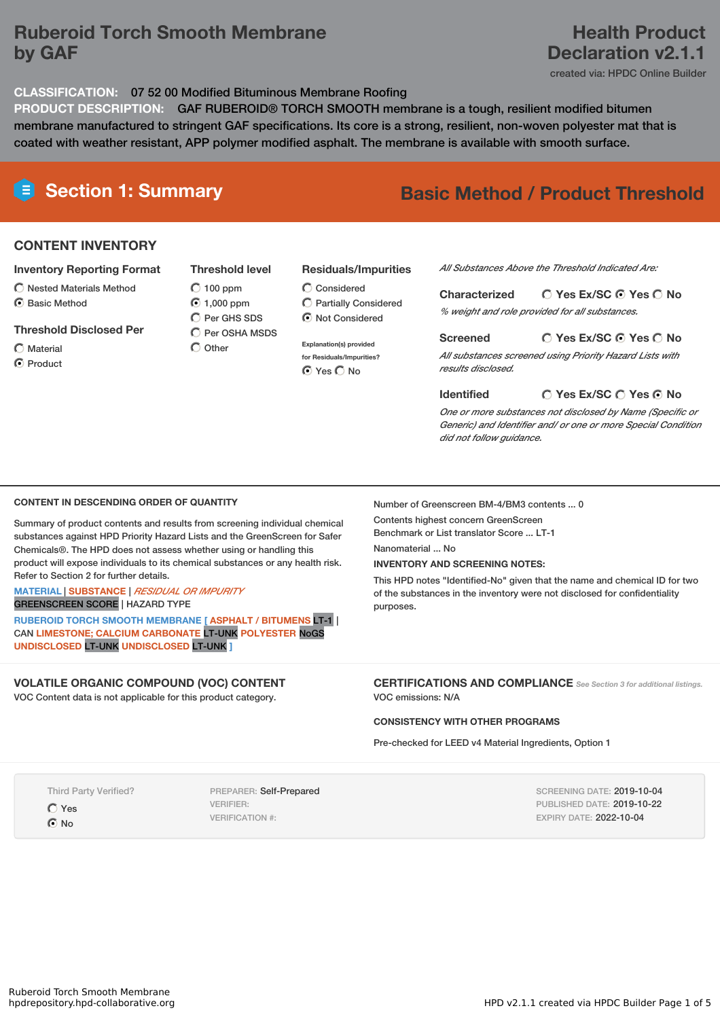# **Ruberoid Torch Smooth Membrane by GAF**

## **CLASSIFICATION:** 07 52 00 Modified Bituminous Membrane Roofing

**PRODUCT DESCRIPTION:** GAF RUBEROID® TORCH SMOOTH membrane is a tough, resilient modified bitumen membrane manufactured to stringent GAF specifications. Its core is a strong, resilient, non-woven polyester mat that is coated with weather resistant, APP polymer modified asphalt. The membrane is available with smooth surface.

# **Section 1: Summary Basic Method / Product Threshold**

# **CONTENT INVENTORY**

#### **Inventory Reporting Format**

- $\bigcirc$  Nested Materials Method
- C Rasic Method

#### **Threshold Disclosed Per**

Material

**O** Product

**Threshold level**  $\bigcirc$  100 ppm 1,000 ppm C Per GHS SDS  $\overline{C}$  Per OSHA MSDS

 $\bigcap$  Other

## **Residuals/Impurities**

Considered Partially Considered  $\bigcirc$  Not Considered

**Explanation(s) provided for Residuals/Impurities? O** Yes O No

*All Substances Above the Threshold Indicated Are:*

#### **Yes Ex/SC Yes No Characterized**

*% weight and role provided for all substances.*

## **Yes Ex/SC Yes No**

*All substances screened using Priority Hazard Lists with results disclosed.*

#### **Identified**

*One or more substances not disclosed by Name (Specific or*

#### **CONTENT IN DESCENDING ORDER OF QUANTITY**

Summary of product contents and results from screening individual chemical substances against HPD Priority Hazard Lists and the GreenScreen for Safer Chemicals®. The HPD does not assess whether using or handling this product will expose individuals to its chemical substances or any health risk. Refer to Section 2 for further details.

#### **MATERIAL** | **SUBSTANCE** | *RESIDUAL OR IMPURITY* GREENSCREEN SCORE | HAZARD TYPE

**RUBEROID TORCH SMOOTH MEMBRANE [ ASPHALT / BITUMENS** LT-1 | CAN **LIMESTONE; CALCIUM CARBONATE** LT-UNK **POLYESTER** NoGS **UNDISCLOSED** LT-UNK **UNDISCLOSED** LT-UNK **]**

# **VOLATILE ORGANIC COMPOUND (VOC) CONTENT**

VOC Content data is not applicable for this product category.

## Number of Greenscreen BM-4/BM3 contents ... 0

Contents highest concern GreenScreen Benchmark or List translator Score ... LT-1 Nanomaterial No.

# **INVENTORY AND SCREENING NOTES:**

This HPD notes "Identified-No" given that the name and chemical ID for two of the substances in the inventory were not disclosed for confidentiality purposes.

#### **CERTIFICATIONS AND COMPLIANCE** *See Section <sup>3</sup> for additional listings.* VOC emissions: N/A

## **CONSISTENCY WITH OTHER PROGRAMS**

Pre-checked for LEED v4 Material Ingredients, Option 1

Third Party Verified?

Yes

C No

PREPARER: Self-Prepared VERIFIER: VERIFICATION #:

SCREENING DATE: 2019-10-04 PUBLISHED DATE: 2019-10-22 EXPIRY DATE: 2022-10-04

# **Screened**

# **Yes Ex/SC Yes No**

*Generic) and Identifier and/ or one or more Special Condition did not follow guidance.*

# **Health Product Declaration v2.1.1**

created via: HPDC Online Builder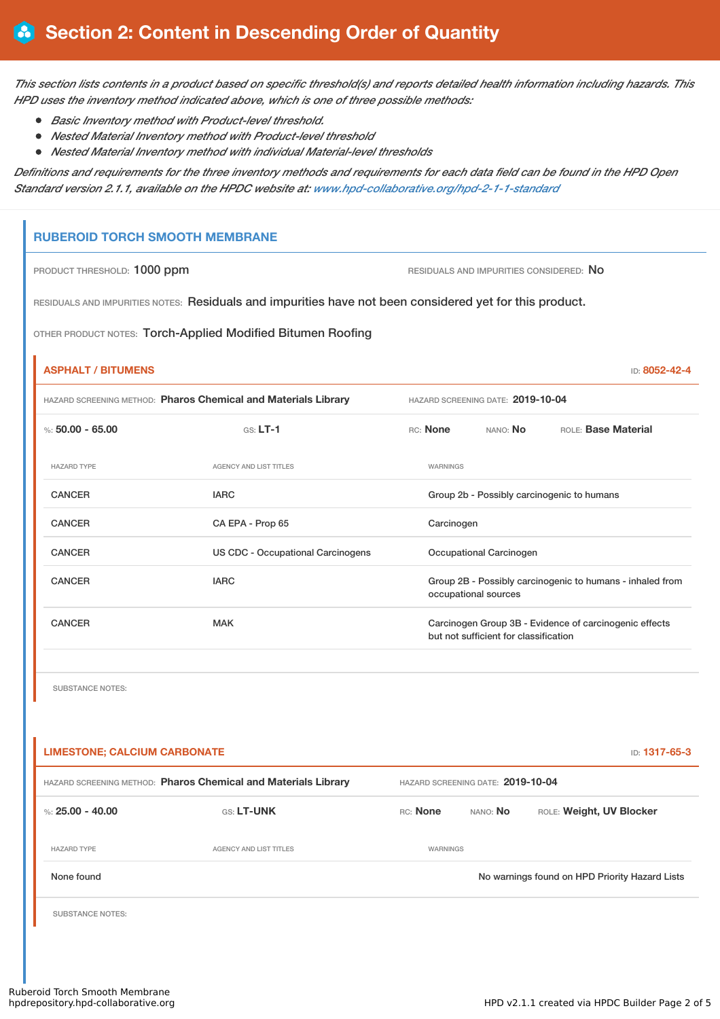This section lists contents in a product based on specific threshold(s) and reports detailed health information including hazards. This *HPD uses the inventory method indicated above, which is one of three possible methods:*

- *Basic Inventory method with Product-level threshold.*
- *Nested Material Inventory method with Product-level threshold*
- *Nested Material Inventory method with individual Material-level thresholds*

Definitions and requirements for the three inventory methods and requirements for each data field can be found in the HPD Open *Standard version 2.1.1, available on the HPDC website at: [www.hpd-collaborative.org/hpd-2-1-1-standard](https://www.hpd-collaborative.org/hpd-2-1-1-standard)*

# **RUBEROID TORCH SMOOTH MEMBRANE**

PRODUCT THRESHOLD: 1000 ppm **RESIDUALS AND IMPURITIES CONSIDERED:** No

RESIDUALS AND IMPURITIES NOTES: Residuals and impurities have not been considered yet for this product.

OTHER PRODUCT NOTES: Torch-Applied Modified Bitumen Roofing

# **ASPHALT / BITUMENS** ID: **8052-42-4** HAZARD SCREENING METHOD: **Pharos Chemical and Materials Library** HAZARD SCREENING DATE: **2019-10-04** %: **50.00 - 65.00** GS: **LT-1** RC: **None** NANO: **No** ROLE: **Base Material** HAZARD TYPE AGENCY AND LIST TITLES WARNINGS CANCER **IARC** IARC Group 2b - Possibly carcinogenic to humans CANCER CANCER CA EPA - Prop 65 Carcinogen CANCER **CANCER** US CDC - Occupational Carcinogens **Occupational Carcinogen** CANCER **IARC** IARC **GROUP 2B - Possibly carcinogenic to humans - inhaled from** occupational sources CANCER MAK MAK Carcinogen Group 3B - Evidence of carcinogenic effects but not sufficient for classification

SUBSTANCE NOTES:

| <b>LIMESTONE: CALCIUM CARBONATE</b><br><b>ID: 1317-65-3</b>    |                        |                                   |                 |                                                |
|----------------------------------------------------------------|------------------------|-----------------------------------|-----------------|------------------------------------------------|
| HAZARD SCREENING METHOD: Pharos Chemical and Materials Library |                        | HAZARD SCREENING DATE: 2019-10-04 |                 |                                                |
| %: 25.00 - 40.00                                               | <b>GS: LT-UNK</b>      | RC: None                          | NANO: <b>No</b> | ROLE: Weight, UV Blocker                       |
| <b>HAZARD TYPE</b>                                             | AGENCY AND LIST TITLES | WARNINGS                          |                 |                                                |
| None found                                                     |                        |                                   |                 | No warnings found on HPD Priority Hazard Lists |
| <b>SUBSTANCE NOTES:</b>                                        |                        |                                   |                 |                                                |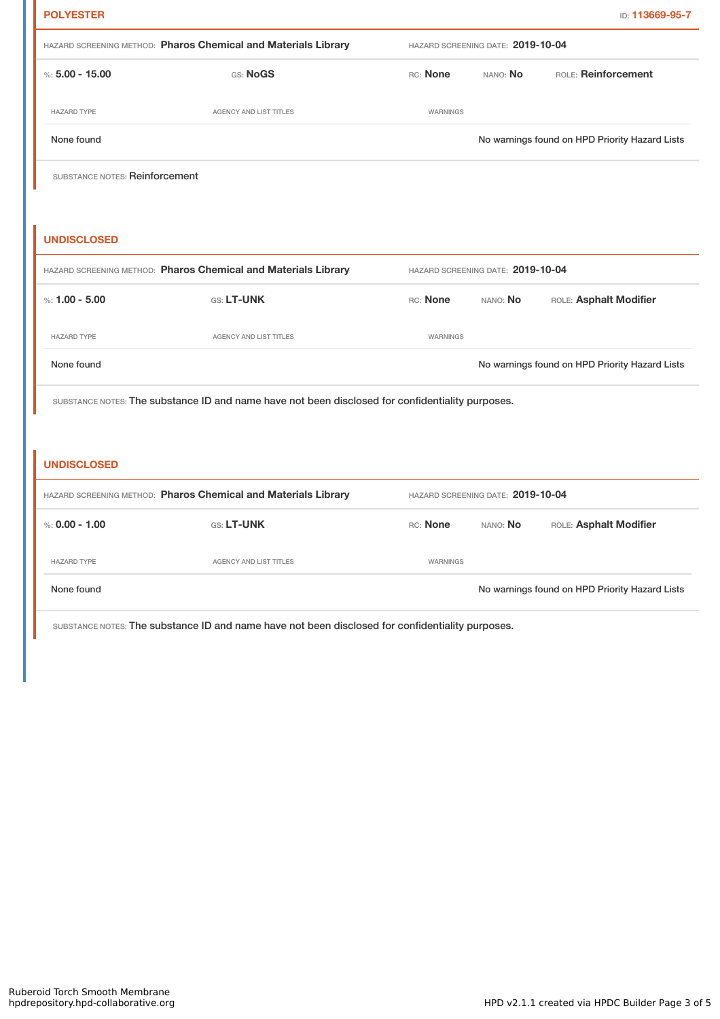| <b>POLYESTER</b>                                               |                                                                                                  |                                   |                                   | ID: 113669-95-7                                |
|----------------------------------------------------------------|--------------------------------------------------------------------------------------------------|-----------------------------------|-----------------------------------|------------------------------------------------|
| HAZARD SCREENING METHOD: Pharos Chemical and Materials Library |                                                                                                  | HAZARD SCREENING DATE: 2019-10-04 |                                   |                                                |
| %: $5.00 - 15.00$                                              | GS: NoGS                                                                                         | RC: None                          | NANO: No                          | ROLE: Reinforcement                            |
| <b>HAZARD TYPE</b>                                             | <b>AGENCY AND LIST TITLES</b>                                                                    | WARNINGS                          |                                   |                                                |
| None found                                                     |                                                                                                  |                                   |                                   | No warnings found on HPD Priority Hazard Lists |
| SUBSTANCE NOTES: Reinforcement                                 |                                                                                                  |                                   |                                   |                                                |
|                                                                |                                                                                                  |                                   |                                   |                                                |
| <b>UNDISCLOSED</b>                                             |                                                                                                  |                                   |                                   |                                                |
| HAZARD SCREENING METHOD: Pharos Chemical and Materials Library |                                                                                                  |                                   |                                   |                                                |
|                                                                |                                                                                                  |                                   | HAZARD SCREENING DATE: 2019-10-04 |                                                |
| %: $1.00 - 5.00$                                               | GS: LT-UNK                                                                                       | RC: None                          | NANO: No                          | ROLE: Asphalt Modifier                         |
| <b>HAZARD TYPE</b>                                             | <b>AGENCY AND LIST TITLES</b>                                                                    | WARNINGS                          |                                   |                                                |
| None found                                                     |                                                                                                  |                                   |                                   | No warnings found on HPD Priority Hazard Lists |
|                                                                | SUBSTANCE NOTES: The substance ID and name have not been disclosed for confidentiality purposes. |                                   |                                   |                                                |
|                                                                |                                                                                                  |                                   |                                   |                                                |
| <b>UNDISCLOSED</b>                                             |                                                                                                  |                                   |                                   |                                                |

| %: 0.00 - 1.00     | <b>GS: LT-UNK</b>      | RC: None        | NANO: <b>No</b> | ROLE: Asphalt Modifier                         |
|--------------------|------------------------|-----------------|-----------------|------------------------------------------------|
| <b>HAZARD TYPE</b> | AGENCY AND LIST TITLES | <b>WARNINGS</b> |                 |                                                |
| None found         |                        |                 |                 | No warnings found on HPD Priority Hazard Lists |

SUBSTANCE NOTES: The substance ID and name have not been disclosed for confidentiality purposes.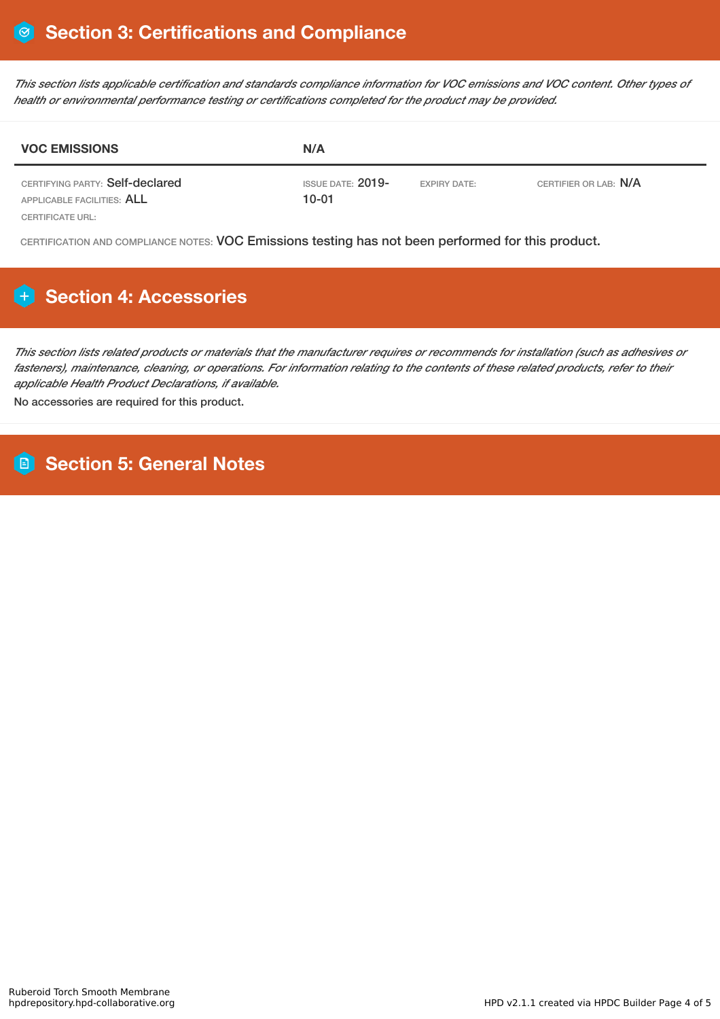This section lists applicable certification and standards compliance information for VOC emissions and VOC content. Other types of *health or environmental performance testing or certifications completed for the product may be provided.*

| <b>VOC EMISSIONS</b>                                          | N/A                            |                     |                       |  |
|---------------------------------------------------------------|--------------------------------|---------------------|-----------------------|--|
| CERTIFYING PARTY: Self-declared<br>APPLICABLE FACILITIES: ALL | ISSUE DATE: 2019-<br>$10 - 01$ | <b>EXPIRY DATE:</b> | CERTIFIER OR LAB: N/A |  |
| CERTIFICATE URL:                                              |                                |                     |                       |  |

CERTIFICATION AND COMPLIANCE NOTES: VOC Emissions testing has not been performed for this product.

# **Section 4: Accessories**

This section lists related products or materials that the manufacturer requires or recommends for installation (such as adhesives or fasteners), maintenance, cleaning, or operations. For information relating to the contents of these related products, refer to their *applicable Health Product Declarations, if available.*

No accessories are required for this product.

# **Section 5: General Notes**